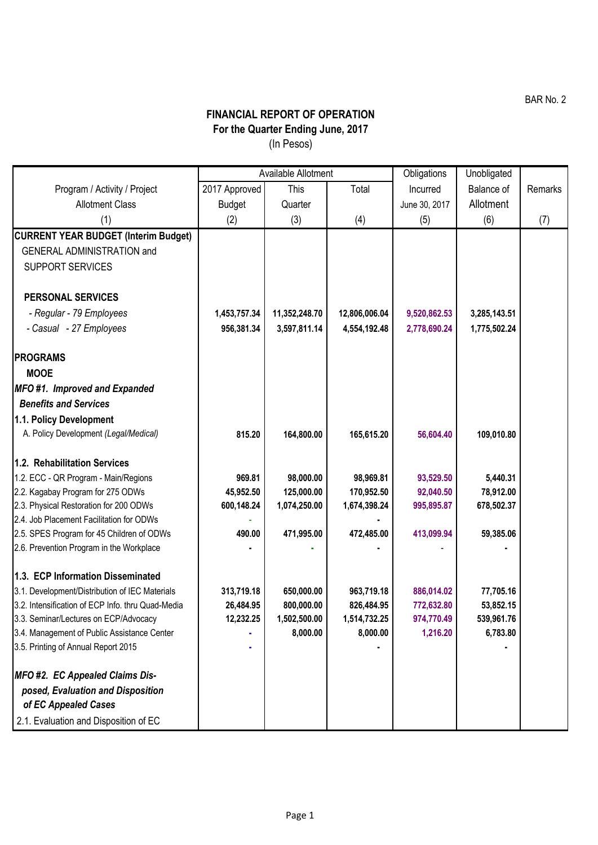## **FINANCIAL REPORT OF OPERATION For the Quarter Ending June, 2017** (In Pesos)

|                                                                                    | Available Allotment |               |               | Obligations   | Unobligated  |         |
|------------------------------------------------------------------------------------|---------------------|---------------|---------------|---------------|--------------|---------|
| Program / Activity / Project                                                       | 2017 Approved       | <b>This</b>   | Total         | Incurred      | Balance of   | Remarks |
| <b>Allotment Class</b>                                                             | Budget              | Quarter       |               | June 30, 2017 | Allotment    |         |
| (1)                                                                                | (2)                 | (3)           | (4)           | (5)           | (6)          | (7)     |
| <b>CURRENT YEAR BUDGET (Interim Budget)</b>                                        |                     |               |               |               |              |         |
| <b>GENERAL ADMINISTRATION and</b>                                                  |                     |               |               |               |              |         |
| <b>SUPPORT SERVICES</b>                                                            |                     |               |               |               |              |         |
|                                                                                    |                     |               |               |               |              |         |
| <b>PERSONAL SERVICES</b>                                                           |                     |               |               |               |              |         |
| - Regular - 79 Employees                                                           | 1,453,757.34        | 11,352,248.70 | 12,806,006.04 | 9,520,862.53  | 3,285,143.51 |         |
| - Casual - 27 Employees                                                            | 956,381.34          | 3,597,811.14  | 4,554,192.48  | 2,778,690.24  | 1,775,502.24 |         |
|                                                                                    |                     |               |               |               |              |         |
| <b>PROGRAMS</b>                                                                    |                     |               |               |               |              |         |
| <b>MOOE</b>                                                                        |                     |               |               |               |              |         |
| MFO#1. Improved and Expanded                                                       |                     |               |               |               |              |         |
| <b>Benefits and Services</b>                                                       |                     |               |               |               |              |         |
| 1.1. Policy Development                                                            |                     |               |               |               |              |         |
| A. Policy Development (Legal/Medical)                                              | 815.20              | 164,800.00    | 165,615.20    | 56,604.40     | 109,010.80   |         |
|                                                                                    |                     |               |               |               |              |         |
| 1.2. Rehabilitation Services                                                       |                     |               |               |               |              |         |
| 1.2. ECC - QR Program - Main/Regions                                               | 969.81              | 98,000.00     | 98,969.81     | 93,529.50     | 5,440.31     |         |
| 2.2. Kagabay Program for 275 ODWs                                                  | 45,952.50           | 125,000.00    | 170,952.50    | 92,040.50     | 78,912.00    |         |
| 2.3. Physical Restoration for 200 ODWs<br>2.4. Job Placement Facilitation for ODWs | 600,148.24          | 1,074,250.00  | 1,674,398.24  | 995,895.87    | 678,502.37   |         |
| 2.5. SPES Program for 45 Children of ODWs                                          | 490.00              | 471,995.00    | 472,485.00    | 413,099.94    | 59,385.06    |         |
| 2.6. Prevention Program in the Workplace                                           |                     |               |               |               |              |         |
|                                                                                    |                     |               |               |               |              |         |
| 1.3. ECP Information Disseminated                                                  |                     |               |               |               |              |         |
| 3.1. Development/Distribution of IEC Materials                                     | 313,719.18          | 650,000.00    | 963,719.18    | 886,014.02    | 77,705.16    |         |
| 3.2. Intensification of ECP Info. thru Quad-Media                                  | 26,484.95           | 800,000.00    | 826,484.95    | 772,632.80    | 53,852.15    |         |
| 3.3. Seminar/Lectures on ECP/Advocacy                                              | 12,232.25           | 1,502,500.00  | 1,514,732.25  | 974,770.49    | 539,961.76   |         |
| 3.4. Management of Public Assistance Center                                        |                     | 8,000.00      | 8,000.00      | 1,216.20      | 6,783.80     |         |
| 3.5. Printing of Annual Report 2015                                                |                     |               |               |               |              |         |
| MFO #2. EC Appealed Claims Dis-                                                    |                     |               |               |               |              |         |
| posed, Evaluation and Disposition                                                  |                     |               |               |               |              |         |
| of EC Appealed Cases                                                               |                     |               |               |               |              |         |
| 2.1. Evaluation and Disposition of EC                                              |                     |               |               |               |              |         |
|                                                                                    |                     |               |               |               |              |         |

BAR No. 2